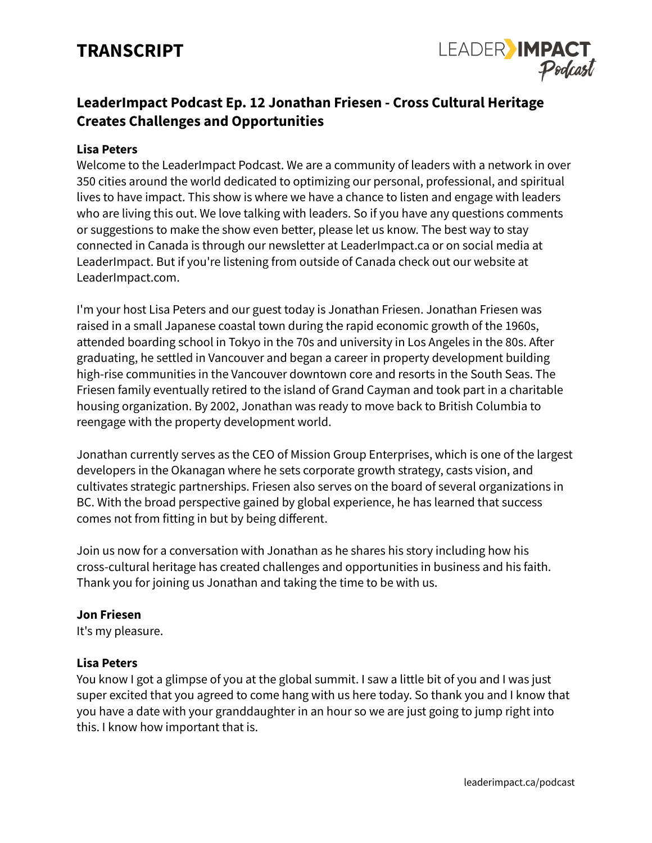# **TRANSCRIPT**



## **LeaderImpact Podcast Ep. 12 Jonathan Friesen - Cross Cultural Heritage Creates Challenges and Opportunities**

## **Lisa Peters**

Welcome to the LeaderImpact Podcast. We are a community of leaders with a network in over 350 cities around the world dedicated to optimizing our personal, professional, and spiritual lives to have impact. This show is where we have a chance to listen and engage with leaders who are living this out. We love talking with leaders. So if you have any questions comments or suggestions to make the show even better, please let us know. The best way to stay connected in Canada is through our newsletter at LeaderImpact.ca or on social media at LeaderImpact. But if you're listening from outside of Canada check out our website at LeaderImpact.com.

I'm your host Lisa Peters and our guest today is Jonathan Friesen. Jonathan Friesen was raised in a small Japanese coastal town during the rapid economic growth of the 1960s, attended boarding school in Tokyo in the 70s and university in Los Angeles in the 80s. After graduating, he settled in Vancouver and began a career in property development building high-rise communities in the Vancouver downtown core and resorts in the South Seas. The Friesen family eventually retired to the island of Grand Cayman and took part in a charitable housing organization. By 2002, Jonathan was ready to move back to British Columbia to reengage with the property development world.

Jonathan currently serves as the CEO of Mission Group Enterprises, which is one of the largest developers in the Okanagan where he sets corporate growth strategy, casts vision, and cultivates strategic partnerships. Friesen also serves on the board of several organizations in BC. With the broad perspective gained by global experience, he has learned that success comes not from fitting in but by being different.

Join us now for a conversation with Jonathan as he shares his story including how his cross-cultural heritage has created challenges and opportunities in business and his faith. Thank you for joining us Jonathan and taking the time to be with us.

#### **Jon Friesen**

It's my pleasure.

#### **Lisa Peters**

You know I got a glimpse of you at the global summit. I saw a little bit of you and I was just super excited that you agreed to come hang with us here today. So thank you and I know that you have a date with your granddaughter in an hour so we are just going to jump right into this. I know how important that is.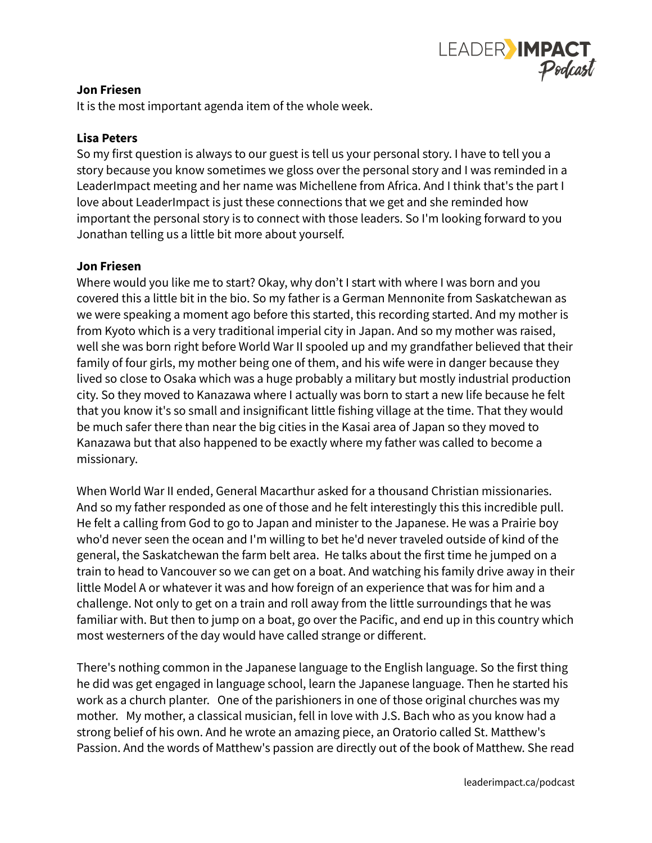

## **Jon Friesen**

It is the most important agenda item of the whole week.

## **Lisa Peters**

So my first question is always to our guest is tell us your personal story. I have to tell you a story because you know sometimes we gloss over the personal story and I was reminded in a LeaderImpact meeting and her name was Michellene from Africa. And I think that's the part I love about LeaderImpact is just these connections that we get and she reminded how important the personal story is to connect with those leaders. So I'm looking forward to you Jonathan telling us a little bit more about yourself.

## **Jon Friesen**

Where would you like me to start? Okay, why don't I start with where I was born and you covered this a little bit in the bio. So my father is a German Mennonite from Saskatchewan as we were speaking a moment ago before this started, this recording started. And my mother is from Kyoto which is a very traditional imperial city in Japan. And so my mother was raised, well she was born right before World War II spooled up and my grandfather believed that their family of four girls, my mother being one of them, and his wife were in danger because they lived so close to Osaka which was a huge probably a military but mostly industrial production city. So they moved to Kanazawa where I actually was born to start a new life because he felt that you know it's so small and insignificant little fishing village at the time. That they would be much safer there than near the big cities in the Kasai area of Japan so they moved to Kanazawa but that also happened to be exactly where my father was called to become a missionary.

When World War II ended, General Macarthur asked for a thousand Christian missionaries. And so my father responded as one of those and he felt interestingly this this incredible pull. He felt a calling from God to go to Japan and minister to the Japanese. He was a Prairie boy who'd never seen the ocean and I'm willing to bet he'd never traveled outside of kind of the general, the Saskatchewan the farm belt area. He talks about the first time he jumped on a train to head to Vancouver so we can get on a boat. And watching his family drive away in their little Model A or whatever it was and how foreign of an experience that was for him and a challenge. Not only to get on a train and roll away from the little surroundings that he was familiar with. But then to jump on a boat, go over the Pacific, and end up in this country which most westerners of the day would have called strange or different.

There's nothing common in the Japanese language to the English language. So the first thing he did was get engaged in language school, learn the Japanese language. Then he started his work as a church planter. One of the parishioners in one of those original churches was my mother. My mother, a classical musician, fell in love with J.S. Bach who as you know had a strong belief of his own. And he wrote an amazing piece, an Oratorio called St. Matthew's Passion. And the words of Matthew's passion are directly out of the book of Matthew. She read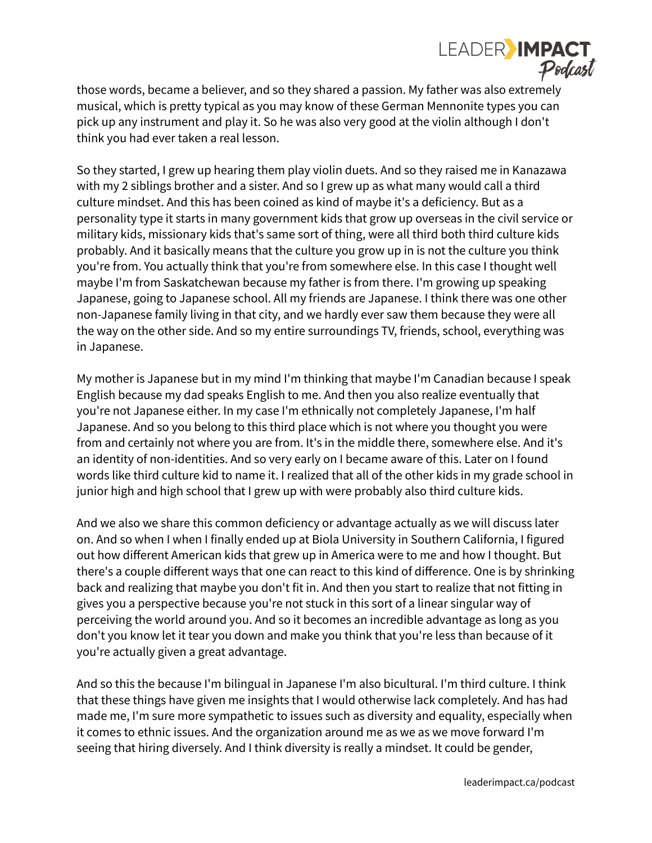

those words, became a believer, and so they shared a passion. My father was also extremely musical, which is pretty typical as you may know of these German Mennonite types you can pick up any instrument and play it. So he was also very good at the violin although I don't think you had ever taken a real lesson.

So they started, I grew up hearing them play violin duets. And so they raised me in Kanazawa with my 2 siblings brother and a sister. And so I grew up as what many would call a third culture mindset. And this has been coined as kind of maybe it's a deficiency. But as a personality type it starts in many government kids that grow up overseas in the civil service or military kids, missionary kids that's same sort of thing, were all third both third culture kids probably. And it basically means that the culture you grow up in is not the culture you think you're from. You actually think that you're from somewhere else. In this case I thought well maybe I'm from Saskatchewan because my father is from there. I'm growing up speaking Japanese, going to Japanese school. All my friends are Japanese. I think there was one other non-Japanese family living in that city, and we hardly ever saw them because they were all the way on the other side. And so my entire surroundings TV, friends, school, everything was in Japanese.

My mother is Japanese but in my mind I'm thinking that maybe I'm Canadian because I speak English because my dad speaks English to me. And then you also realize eventually that you're not Japanese either. In my case I'm ethnically not completely Japanese, I'm half Japanese. And so you belong to this third place which is not where you thought you were from and certainly not where you are from. It's in the middle there, somewhere else. And it's an identity of non-identities. And so very early on I became aware of this. Later on I found words like third culture kid to name it. I realized that all of the other kids in my grade school in junior high and high school that I grew up with were probably also third culture kids.

And we also we share this common deficiency or advantage actually as we will discuss later on. And so when I when I finally ended up at Biola University in Southern California, I figured out how different American kids that grew up in America were to me and how I thought. But there's a couple different ways that one can react to this kind of difference. One is by shrinking back and realizing that maybe you don't fit in. And then you start to realize that not fitting in gives you a perspective because you're not stuck in this sort of a linear singular way of perceiving the world around you. And so it becomes an incredible advantage as long as you don't you know let it tear you down and make you think that you're less than because of it you're actually given a great advantage.

And so this the because I'm bilingual in Japanese I'm also bicultural. I'm third culture. I think that these things have given me insights that I would otherwise lack completely. And has had made me, I'm sure more sympathetic to issues such as diversity and equality, especially when it comes to ethnic issues. And the organization around me as we as we move forward I'm seeing that hiring diversely. And I think diversity is really a mindset. It could be gender,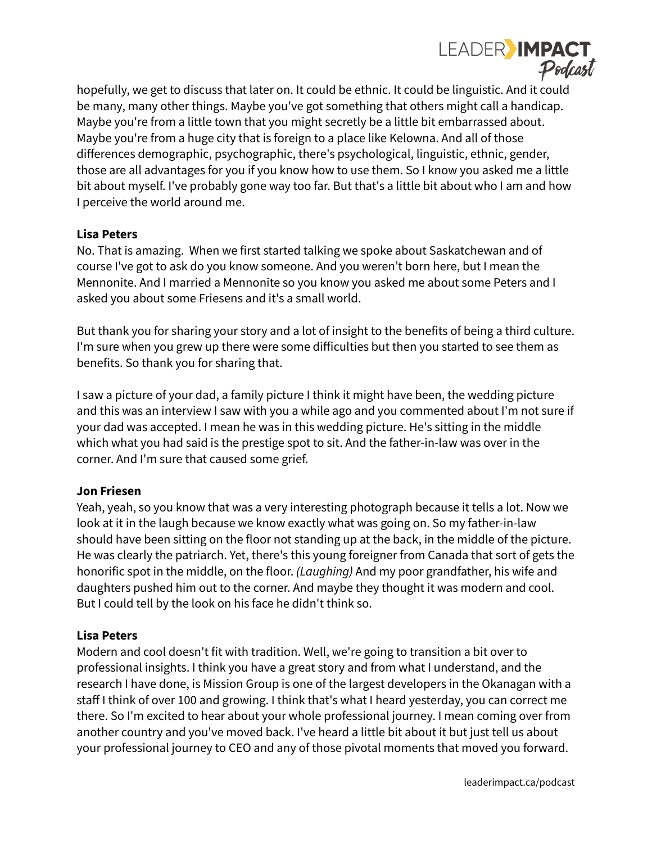

hopefully, we get to discuss that later on. It could be ethnic. It could be linguistic. And it could be many, many other things. Maybe you've got something that others might call a handicap. Maybe you're from a little town that you might secretly be a little bit embarrassed about. Maybe you're from a huge city that is foreign to a place like Kelowna. And all of those differences demographic, psychographic, there's psychological, linguistic, ethnic, gender, those are all advantages for you if you know how to use them. So I know you asked me a little bit about myself. I've probably gone way too far. But that's a little bit about who I am and how I perceive the world around me.

## **Lisa Peters**

No. That is amazing. When we first started talking we spoke about Saskatchewan and of course I've got to ask do you know someone. And you weren't born here, but I mean the Mennonite. And I married a Mennonite so you know you asked me about some Peters and I asked you about some Friesens and it's a small world.

But thank you for sharing your story and a lot of insight to the benefits of being a third culture. I'm sure when you grew up there were some difficulties but then you started to see them as benefits. So thank you for sharing that.

I saw a picture of your dad, a family picture I think it might have been, the wedding picture and this was an interview I saw with you a while ago and you commented about I'm not sure if your dad was accepted. I mean he was in this wedding picture. He's sitting in the middle which what you had said is the prestige spot to sit. And the father-in-law was over in the corner. And I'm sure that caused some grief.

## **Jon Friesen**

Yeah, yeah, so you know that was a very interesting photograph because it tells a lot. Now we look at it in the laugh because we know exactly what was going on. So my father-in-law should have been sitting on the floor not standing up at the back, in the middle of the picture. He was clearly the patriarch. Yet, there's this young foreigner from Canada that sort of gets the honorific spot in the middle, on the floor. *(Laughing)* And my poor grandfather, his wife and daughters pushed him out to the corner. And maybe they thought it was modern and cool. But I could tell by the look on his face he didn't think so.

#### **Lisa Peters**

Modern and cool doesn't fit with tradition. Well, we're going to transition a bit over to professional insights. I think you have a great story and from what I understand, and the research I have done, is Mission Group is one of the largest developers in the Okanagan with a staff I think of over 100 and growing. I think that's what I heard yesterday, you can correct me there. So I'm excited to hear about your whole professional journey. I mean coming over from another country and you've moved back. I've heard a little bit about it but just tell us about your professional journey to CEO and any of those pivotal moments that moved you forward.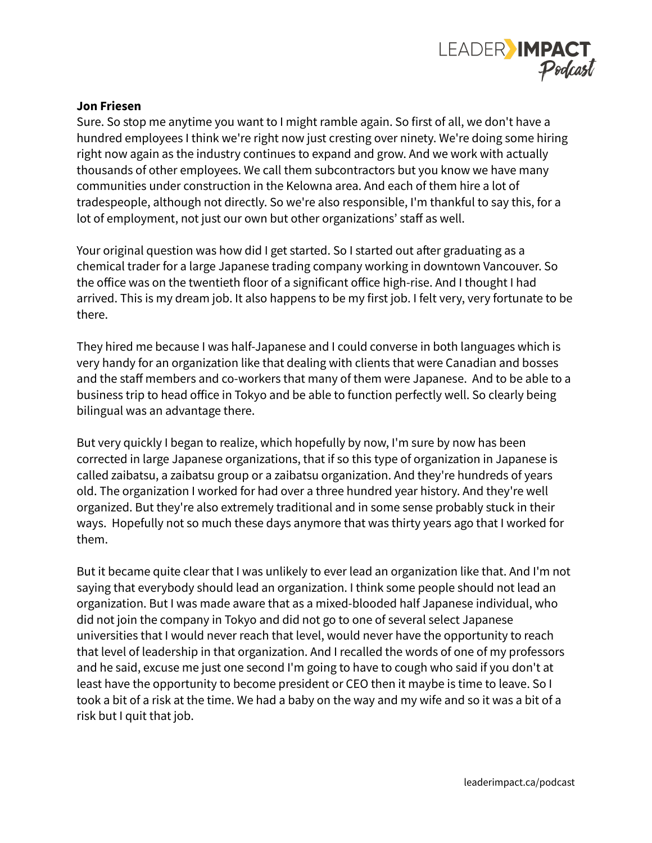

#### **Jon Friesen**

Sure. So stop me anytime you want to I might ramble again. So first of all, we don't have a hundred employees I think we're right now just cresting over ninety. We're doing some hiring right now again as the industry continues to expand and grow. And we work with actually thousands of other employees. We call them subcontractors but you know we have many communities under construction in the Kelowna area. And each of them hire a lot of tradespeople, although not directly. So we're also responsible, I'm thankful to say this, for a lot of employment, not just our own but other organizations' staff as well.

Your original question was how did I get started. So I started out after graduating as a chemical trader for a large Japanese trading company working in downtown Vancouver. So the office was on the twentieth floor of a significant office high-rise. And I thought I had arrived. This is my dream job. It also happens to be my first job. I felt very, very fortunate to be there.

They hired me because I was half-Japanese and I could converse in both languages which is very handy for an organization like that dealing with clients that were Canadian and bosses and the staff members and co-workers that many of them were Japanese. And to be able to a business trip to head office in Tokyo and be able to function perfectly well. So clearly being bilingual was an advantage there.

But very quickly I began to realize, which hopefully by now, I'm sure by now has been corrected in large Japanese organizations, that if so this type of organization in Japanese is called zaibatsu, a zaibatsu group or a zaibatsu organization. And they're hundreds of years old. The organization I worked for had over a three hundred year history. And they're well organized. But they're also extremely traditional and in some sense probably stuck in their ways. Hopefully not so much these days anymore that was thirty years ago that I worked for them.

But it became quite clear that I was unlikely to ever lead an organization like that. And I'm not saying that everybody should lead an organization. I think some people should not lead an organization. But I was made aware that as a mixed-blooded half Japanese individual, who did not join the company in Tokyo and did not go to one of several select Japanese universities that I would never reach that level, would never have the opportunity to reach that level of leadership in that organization. And I recalled the words of one of my professors and he said, excuse me just one second I'm going to have to cough who said if you don't at least have the opportunity to become president or CEO then it maybe is time to leave. So I took a bit of a risk at the time. We had a baby on the way and my wife and so it was a bit of a risk but I quit that job.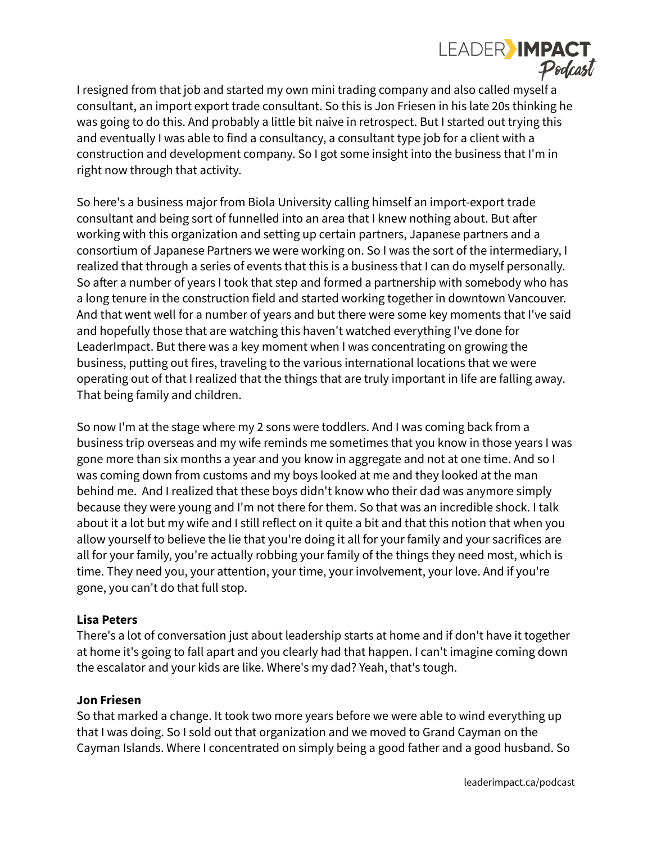

I resigned from that job and started my own mini trading company and also called myself a consultant, an import export trade consultant. So this is Jon Friesen in his late 20s thinking he was going to do this. And probably a little bit naive in retrospect. But I started out trying this and eventually I was able to find a consultancy, a consultant type job for a client with a construction and development company. So I got some insight into the business that I'm in right now through that activity.

So here's a business major from Biola University calling himself an import-export trade consultant and being sort of funnelled into an area that I knew nothing about. But after working with this organization and setting up certain partners, Japanese partners and a consortium of Japanese Partners we were working on. So I was the sort of the intermediary, I realized that through a series of events that this is a business that I can do myself personally. So after a number of years I took that step and formed a partnership with somebody who has a long tenure in the construction field and started working together in downtown Vancouver. And that went well for a number of years and but there were some key moments that I've said and hopefully those that are watching this haven't watched everything I've done for LeaderImpact. But there was a key moment when I was concentrating on growing the business, putting out fires, traveling to the various international locations that we were operating out of that I realized that the things that are truly important in life are falling away. That being family and children.

So now I'm at the stage where my 2 sons were toddlers. And I was coming back from a business trip overseas and my wife reminds me sometimes that you know in those years I was gone more than six months a year and you know in aggregate and not at one time. And so I was coming down from customs and my boys looked at me and they looked at the man behind me. And I realized that these boys didn't know who their dad was anymore simply because they were young and I'm not there for them. So that was an incredible shock. I talk about it a lot but my wife and I still reflect on it quite a bit and that this notion that when you allow yourself to believe the lie that you're doing it all for your family and your sacrifices are all for your family, you're actually robbing your family of the things they need most, which is time. They need you, your attention, your time, your involvement, your love. And if you're gone, you can't do that full stop.

#### **Lisa Peters**

There's a lot of conversation just about leadership starts at home and if don't have it together at home it's going to fall apart and you clearly had that happen. I can't imagine coming down the escalator and your kids are like. Where's my dad? Yeah, that's tough.

#### **Jon Friesen**

So that marked a change. It took two more years before we were able to wind everything up that I was doing. So I sold out that organization and we moved to Grand Cayman on the Cayman Islands. Where I concentrated on simply being a good father and a good husband. So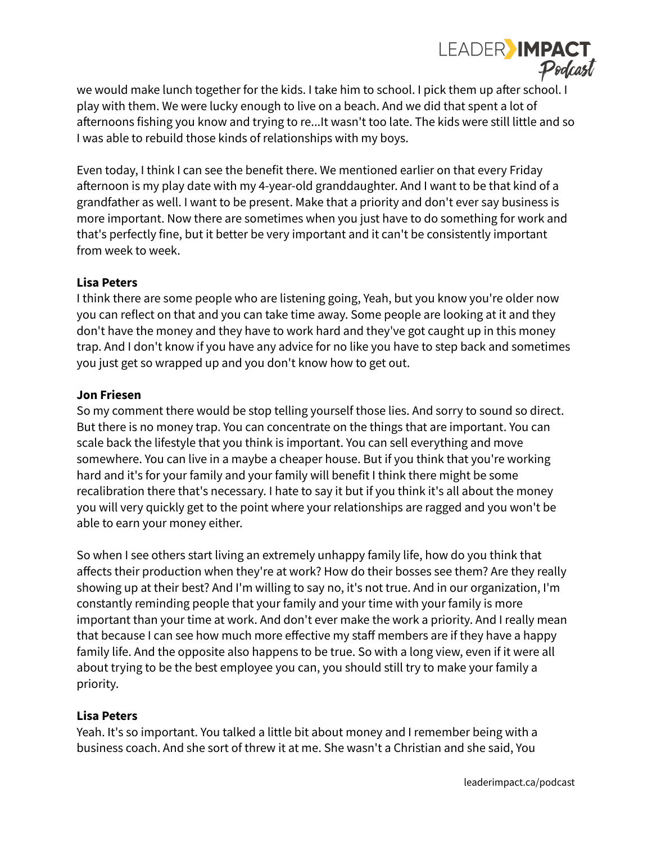

we would make lunch together for the kids. I take him to school. I pick them up after school. I play with them. We were lucky enough to live on a beach. And we did that spent a lot of afternoons fishing you know and trying to re...It wasn't too late. The kids were still little and so I was able to rebuild those kinds of relationships with my boys.

Even today, I think I can see the benefit there. We mentioned earlier on that every Friday afternoon is my play date with my 4-year-old granddaughter. And I want to be that kind of a grandfather as well. I want to be present. Make that a priority and don't ever say business is more important. Now there are sometimes when you just have to do something for work and that's perfectly fine, but it better be very important and it can't be consistently important from week to week.

## **Lisa Peters**

I think there are some people who are listening going, Yeah, but you know you're older now you can reflect on that and you can take time away. Some people are looking at it and they don't have the money and they have to work hard and they've got caught up in this money trap. And I don't know if you have any advice for no like you have to step back and sometimes you just get so wrapped up and you don't know how to get out.

## **Jon Friesen**

So my comment there would be stop telling yourself those lies. And sorry to sound so direct. But there is no money trap. You can concentrate on the things that are important. You can scale back the lifestyle that you think is important. You can sell everything and move somewhere. You can live in a maybe a cheaper house. But if you think that you're working hard and it's for your family and your family will benefit I think there might be some recalibration there that's necessary. I hate to say it but if you think it's all about the money you will very quickly get to the point where your relationships are ragged and you won't be able to earn your money either.

So when I see others start living an extremely unhappy family life, how do you think that affects their production when they're at work? How do their bosses see them? Are they really showing up at their best? And I'm willing to say no, it's not true. And in our organization, I'm constantly reminding people that your family and your time with your family is more important than your time at work. And don't ever make the work a priority. And I really mean that because I can see how much more effective my staff members are if they have a happy family life. And the opposite also happens to be true. So with a long view, even if it were all about trying to be the best employee you can, you should still try to make your family a priority.

## **Lisa Peters**

Yeah. It's so important. You talked a little bit about money and I remember being with a business coach. And she sort of threw it at me. She wasn't a Christian and she said, You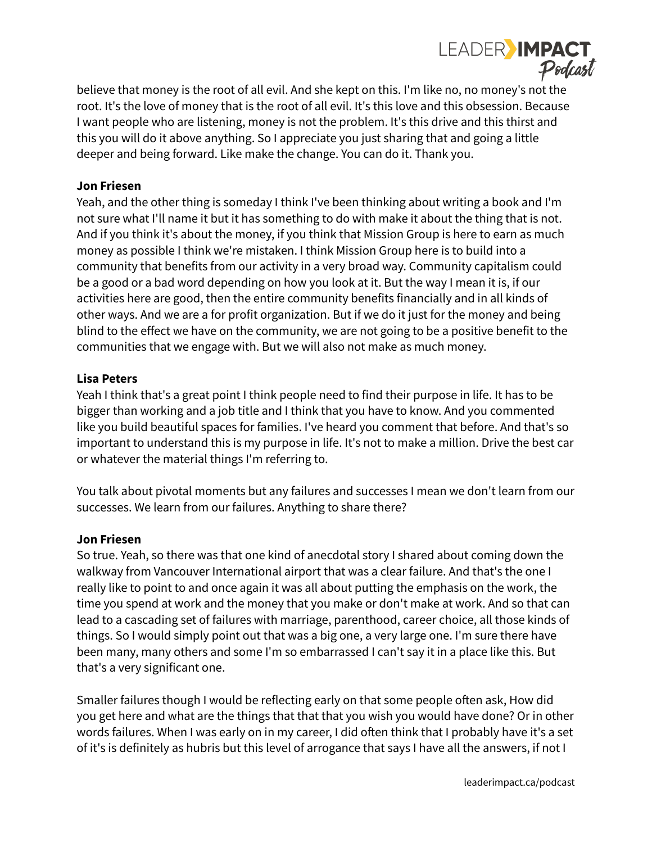

believe that money is the root of all evil. And she kept on this. I'm like no, no money's not the root. It's the love of money that is the root of all evil. It's this love and this obsession. Because I want people who are listening, money is not the problem. It's this drive and this thirst and this you will do it above anything. So I appreciate you just sharing that and going a little deeper and being forward. Like make the change. You can do it. Thank you.

#### **Jon Friesen**

Yeah, and the other thing is someday I think I've been thinking about writing a book and I'm not sure what I'll name it but it has something to do with make it about the thing that is not. And if you think it's about the money, if you think that Mission Group is here to earn as much money as possible I think we're mistaken. I think Mission Group here is to build into a community that benefits from our activity in a very broad way. Community capitalism could be a good or a bad word depending on how you look at it. But the way I mean it is, if our activities here are good, then the entire community benefits financially and in all kinds of other ways. And we are a for profit organization. But if we do it just for the money and being blind to the effect we have on the community, we are not going to be a positive benefit to the communities that we engage with. But we will also not make as much money.

#### **Lisa Peters**

Yeah I think that's a great point I think people need to find their purpose in life. It has to be bigger than working and a job title and I think that you have to know. And you commented like you build beautiful spaces for families. I've heard you comment that before. And that's so important to understand this is my purpose in life. It's not to make a million. Drive the best car or whatever the material things I'm referring to.

You talk about pivotal moments but any failures and successes I mean we don't learn from our successes. We learn from our failures. Anything to share there?

#### **Jon Friesen**

So true. Yeah, so there was that one kind of anecdotal story I shared about coming down the walkway from Vancouver International airport that was a clear failure. And that's the one I really like to point to and once again it was all about putting the emphasis on the work, the time you spend at work and the money that you make or don't make at work. And so that can lead to a cascading set of failures with marriage, parenthood, career choice, all those kinds of things. So I would simply point out that was a big one, a very large one. I'm sure there have been many, many others and some I'm so embarrassed I can't say it in a place like this. But that's a very significant one.

Smaller failures though I would be reflecting early on that some people often ask, How did you get here and what are the things that that that you wish you would have done? Or in other words failures. When I was early on in my career, I did often think that I probably have it's a set of it's is definitely as hubris but this level of arrogance that says I have all the answers, if not I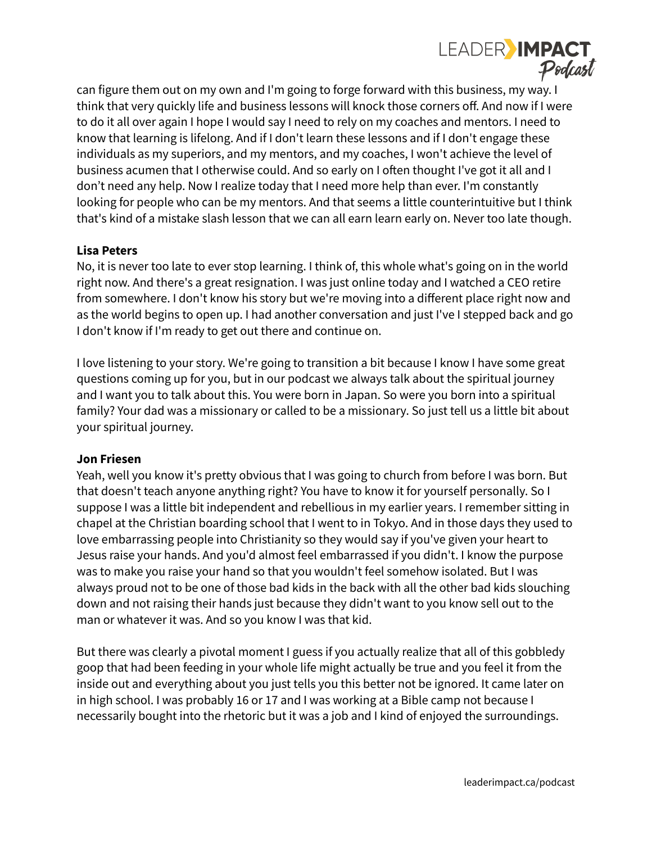

can figure them out on my own and I'm going to forge forward with this business, my way. I think that very quickly life and business lessons will knock those corners off. And now if I were to do it all over again I hope I would say I need to rely on my coaches and mentors. I need to know that learning is lifelong. And if I don't learn these lessons and if I don't engage these individuals as my superiors, and my mentors, and my coaches, I won't achieve the level of business acumen that I otherwise could. And so early on I often thought I've got it all and I don't need any help. Now I realize today that I need more help than ever. I'm constantly looking for people who can be my mentors. And that seems a little counterintuitive but I think that's kind of a mistake slash lesson that we can all earn learn early on. Never too late though.

## **Lisa Peters**

No, it is never too late to ever stop learning. I think of, this whole what's going on in the world right now. And there's a great resignation. I was just online today and I watched a CEO retire from somewhere. I don't know his story but we're moving into a different place right now and as the world begins to open up. I had another conversation and just I've I stepped back and go I don't know if I'm ready to get out there and continue on.

I love listening to your story. We're going to transition a bit because I know I have some great questions coming up for you, but in our podcast we always talk about the spiritual journey and I want you to talk about this. You were born in Japan. So were you born into a spiritual family? Your dad was a missionary or called to be a missionary. So just tell us a little bit about your spiritual journey.

#### **Jon Friesen**

Yeah, well you know it's pretty obvious that I was going to church from before I was born. But that doesn't teach anyone anything right? You have to know it for yourself personally. So I suppose I was a little bit independent and rebellious in my earlier years. I remember sitting in chapel at the Christian boarding school that I went to in Tokyo. And in those days they used to love embarrassing people into Christianity so they would say if you've given your heart to Jesus raise your hands. And you'd almost feel embarrassed if you didn't. I know the purpose was to make you raise your hand so that you wouldn't feel somehow isolated. But I was always proud not to be one of those bad kids in the back with all the other bad kids slouching down and not raising their hands just because they didn't want to you know sell out to the man or whatever it was. And so you know I was that kid.

But there was clearly a pivotal moment I guess if you actually realize that all of this gobbledy goop that had been feeding in your whole life might actually be true and you feel it from the inside out and everything about you just tells you this better not be ignored. It came later on in high school. I was probably 16 or 17 and I was working at a Bible camp not because I necessarily bought into the rhetoric but it was a job and I kind of enjoyed the surroundings.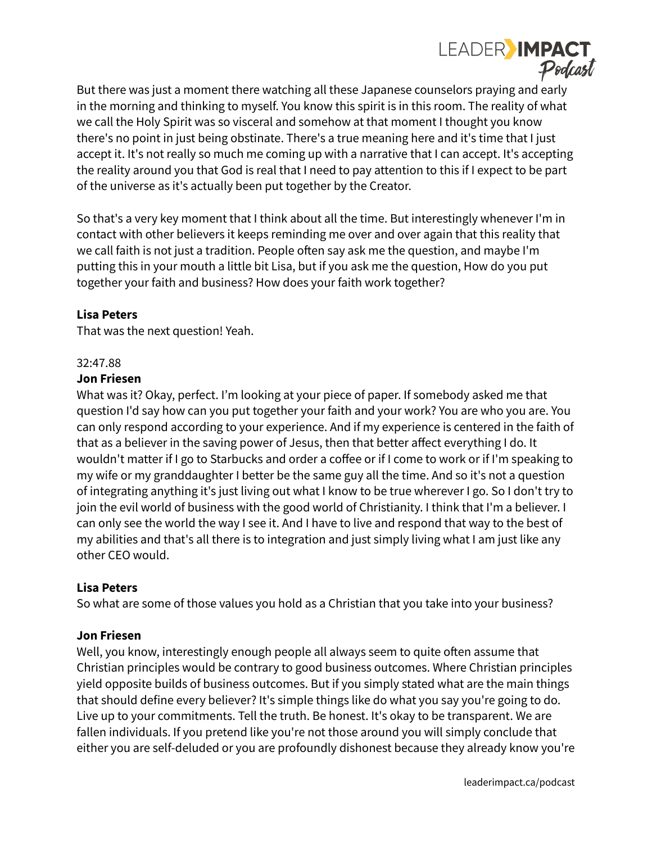

But there was just a moment there watching all these Japanese counselors praying and early in the morning and thinking to myself. You know this spirit is in this room. The reality of what we call the Holy Spirit was so visceral and somehow at that moment I thought you know there's no point in just being obstinate. There's a true meaning here and it's time that I just accept it. It's not really so much me coming up with a narrative that I can accept. It's accepting the reality around you that God is real that I need to pay attention to this if I expect to be part of the universe as it's actually been put together by the Creator.

So that's a very key moment that I think about all the time. But interestingly whenever I'm in contact with other believers it keeps reminding me over and over again that this reality that we call faith is not just a tradition. People often say ask me the question, and maybe I'm putting this in your mouth a little bit Lisa, but if you ask me the question, How do you put together your faith and business? How does your faith work together?

## **Lisa Peters**

That was the next question! Yeah.

#### 32:47.88

#### **Jon Friesen**

What was it? Okay, perfect. I'm looking at your piece of paper. If somebody asked me that question I'd say how can you put together your faith and your work? You are who you are. You can only respond according to your experience. And if my experience is centered in the faith of that as a believer in the saving power of Jesus, then that better affect everything I do. It wouldn't matter if I go to Starbucks and order a coffee or if I come to work or if I'm speaking to my wife or my granddaughter I better be the same guy all the time. And so it's not a question of integrating anything it's just living out what I know to be true wherever I go. So I don't try to join the evil world of business with the good world of Christianity. I think that I'm a believer. I can only see the world the way I see it. And I have to live and respond that way to the best of my abilities and that's all there is to integration and just simply living what I am just like any other CEO would.

#### **Lisa Peters**

So what are some of those values you hold as a Christian that you take into your business?

#### **Jon Friesen**

Well, you know, interestingly enough people all always seem to quite often assume that Christian principles would be contrary to good business outcomes. Where Christian principles yield opposite builds of business outcomes. But if you simply stated what are the main things that should define every believer? It's simple things like do what you say you're going to do. Live up to your commitments. Tell the truth. Be honest. It's okay to be transparent. We are fallen individuals. If you pretend like you're not those around you will simply conclude that either you are self-deluded or you are profoundly dishonest because they already know you're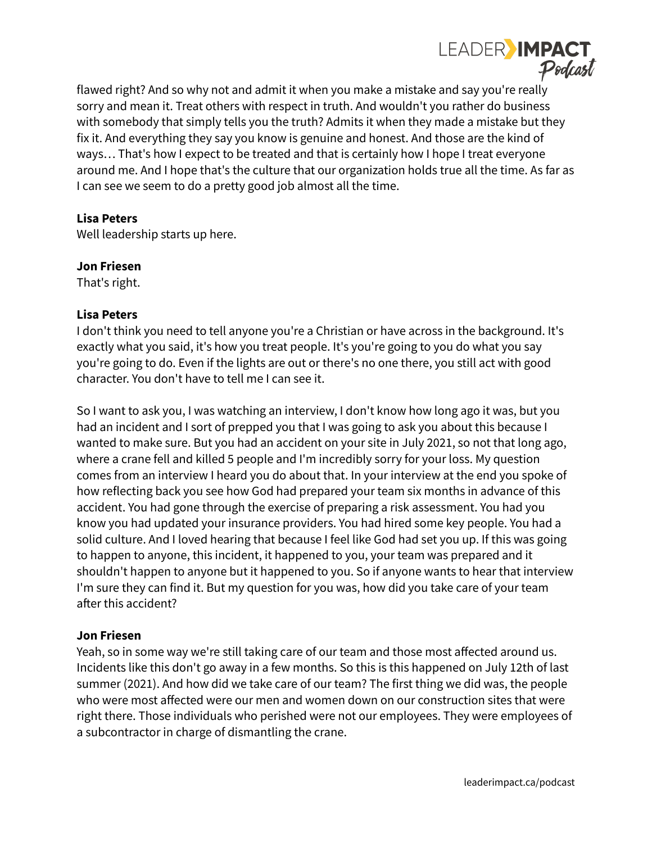

flawed right? And so why not and admit it when you make a mistake and say you're really sorry and mean it. Treat others with respect in truth. And wouldn't you rather do business with somebody that simply tells you the truth? Admits it when they made a mistake but they fix it. And everything they say you know is genuine and honest. And those are the kind of ways… That's how I expect to be treated and that is certainly how I hope I treat everyone around me. And I hope that's the culture that our organization holds true all the time. As far as I can see we seem to do a pretty good job almost all the time.

## **Lisa Peters**

Well leadership starts up here.

#### **Jon Friesen**

That's right.

## **Lisa Peters**

I don't think you need to tell anyone you're a Christian or have across in the background. It's exactly what you said, it's how you treat people. It's you're going to you do what you say you're going to do. Even if the lights are out or there's no one there, you still act with good character. You don't have to tell me I can see it.

So I want to ask you, I was watching an interview, I don't know how long ago it was, but you had an incident and I sort of prepped you that I was going to ask you about this because I wanted to make sure. But you had an accident on your site in July 2021, so not that long ago, where a crane fell and killed 5 people and I'm incredibly sorry for your loss. My question comes from an interview I heard you do about that. In your interview at the end you spoke of how reflecting back you see how God had prepared your team six months in advance of this accident. You had gone through the exercise of preparing a risk assessment. You had you know you had updated your insurance providers. You had hired some key people. You had a solid culture. And I loved hearing that because I feel like God had set you up. If this was going to happen to anyone, this incident, it happened to you, your team was prepared and it shouldn't happen to anyone but it happened to you. So if anyone wants to hear that interview I'm sure they can find it. But my question for you was, how did you take care of your team after this accident?

#### **Jon Friesen**

Yeah, so in some way we're still taking care of our team and those most affected around us. Incidents like this don't go away in a few months. So this is this happened on July 12th of last summer (2021). And how did we take care of our team? The first thing we did was, the people who were most affected were our men and women down on our construction sites that were right there. Those individuals who perished were not our employees. They were employees of a subcontractor in charge of dismantling the crane.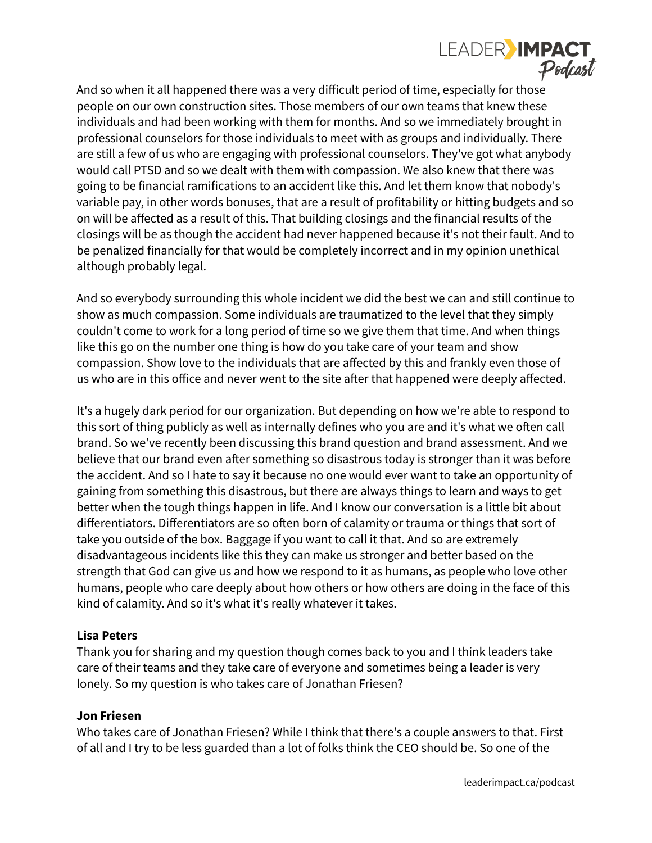

And so when it all happened there was a very difficult period of time, especially for those people on our own construction sites. Those members of our own teams that knew these individuals and had been working with them for months. And so we immediately brought in professional counselors for those individuals to meet with as groups and individually. There are still a few of us who are engaging with professional counselors. They've got what anybody would call PTSD and so we dealt with them with compassion. We also knew that there was going to be financial ramifications to an accident like this. And let them know that nobody's variable pay, in other words bonuses, that are a result of profitability or hitting budgets and so on will be affected as a result of this. That building closings and the financial results of the closings will be as though the accident had never happened because it's not their fault. And to be penalized financially for that would be completely incorrect and in my opinion unethical although probably legal.

And so everybody surrounding this whole incident we did the best we can and still continue to show as much compassion. Some individuals are traumatized to the level that they simply couldn't come to work for a long period of time so we give them that time. And when things like this go on the number one thing is how do you take care of your team and show compassion. Show love to the individuals that are affected by this and frankly even those of us who are in this office and never went to the site after that happened were deeply affected.

It's a hugely dark period for our organization. But depending on how we're able to respond to this sort of thing publicly as well as internally defines who you are and it's what we often call brand. So we've recently been discussing this brand question and brand assessment. And we believe that our brand even after something so disastrous today is stronger than it was before the accident. And so I hate to say it because no one would ever want to take an opportunity of gaining from something this disastrous, but there are always things to learn and ways to get better when the tough things happen in life. And I know our conversation is a little bit about differentiators. Differentiators are so often born of calamity or trauma or things that sort of take you outside of the box. Baggage if you want to call it that. And so are extremely disadvantageous incidents like this they can make us stronger and better based on the strength that God can give us and how we respond to it as humans, as people who love other humans, people who care deeply about how others or how others are doing in the face of this kind of calamity. And so it's what it's really whatever it takes.

#### **Lisa Peters**

Thank you for sharing and my question though comes back to you and I think leaders take care of their teams and they take care of everyone and sometimes being a leader is very lonely. So my question is who takes care of Jonathan Friesen?

#### **Jon Friesen**

Who takes care of Jonathan Friesen? While I think that there's a couple answers to that. First of all and I try to be less guarded than a lot of folks think the CEO should be. So one of the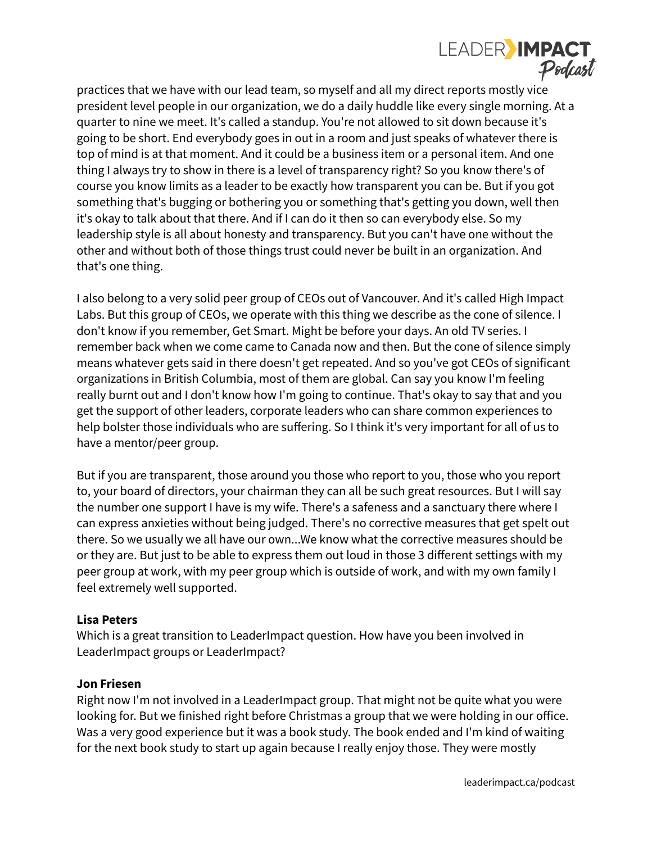

practices that we have with our lead team, so myself and all my direct reports mostly vice president level people in our organization, we do a daily huddle like every single morning. At a quarter to nine we meet. It's called a standup. You're not allowed to sit down because it's going to be short. End everybody goes in out in a room and just speaks of whatever there is top of mind is at that moment. And it could be a business item or a personal item. And one thing I always try to show in there is a level of transparency right? So you know there's of course you know limits as a leader to be exactly how transparent you can be. But if you got something that's bugging or bothering you or something that's getting you down, well then it's okay to talk about that there. And if I can do it then so can everybody else. So my leadership style is all about honesty and transparency. But you can't have one without the other and without both of those things trust could never be built in an organization. And that's one thing.

I also belong to a very solid peer group of CEOs out of Vancouver. And it's called High Impact Labs. But this group of CEOs, we operate with this thing we describe as the cone of silence. I don't know if you remember, Get Smart. Might be before your days. An old TV series. I remember back when we come came to Canada now and then. But the cone of silence simply means whatever gets said in there doesn't get repeated. And so you've got CEOs of significant organizations in British Columbia, most of them are global. Can say you know I'm feeling really burnt out and I don't know how I'm going to continue. That's okay to say that and you get the support of other leaders, corporate leaders who can share common experiences to help bolster those individuals who are suffering. So I think it's very important for all of us to have a mentor/peer group.

But if you are transparent, those around you those who report to you, those who you report to, your board of directors, your chairman they can all be such great resources. But I will say the number one support I have is my wife. There's a safeness and a sanctuary there where I can express anxieties without being judged. There's no corrective measures that get spelt out there. So we usually we all have our own...We know what the corrective measures should be or they are. But just to be able to express them out loud in those 3 different settings with my peer group at work, with my peer group which is outside of work, and with my own family I feel extremely well supported.

#### **Lisa Peters**

Which is a great transition to LeaderImpact question. How have you been involved in LeaderImpact groups or LeaderImpact?

## **Jon Friesen**

Right now I'm not involved in a LeaderImpact group. That might not be quite what you were looking for. But we finished right before Christmas a group that we were holding in our office. Was a very good experience but it was a book study. The book ended and I'm kind of waiting for the next book study to start up again because I really enjoy those. They were mostly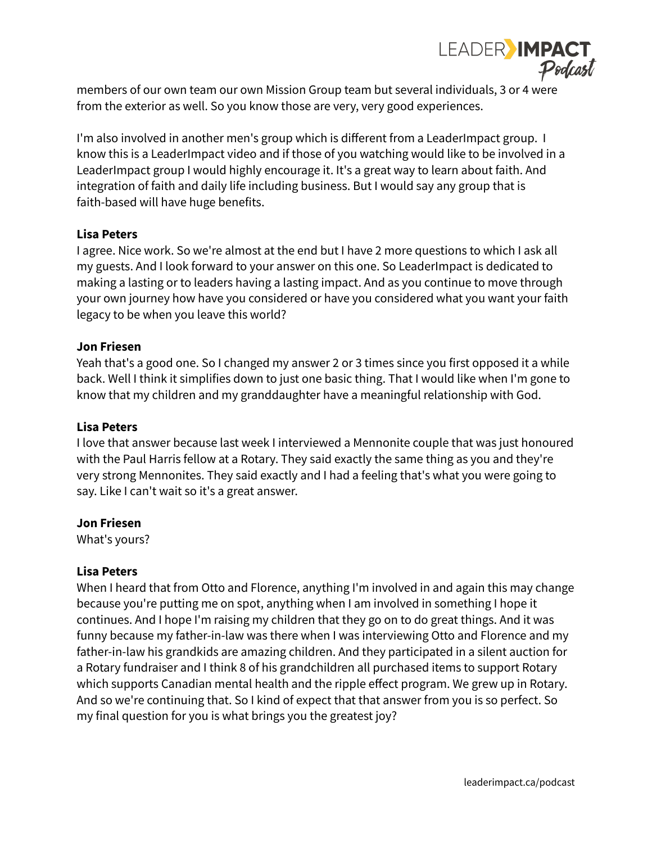

members of our own team our own Mission Group team but several individuals, 3 or 4 were from the exterior as well. So you know those are very, very good experiences.

I'm also involved in another men's group which is different from a LeaderImpact group. I know this is a LeaderImpact video and if those of you watching would like to be involved in a LeaderImpact group I would highly encourage it. It's a great way to learn about faith. And integration of faith and daily life including business. But I would say any group that is faith-based will have huge benefits.

## **Lisa Peters**

I agree. Nice work. So we're almost at the end but I have 2 more questions to which I ask all my guests. And I look forward to your answer on this one. So LeaderImpact is dedicated to making a lasting or to leaders having a lasting impact. And as you continue to move through your own journey how have you considered or have you considered what you want your faith legacy to be when you leave this world?

#### **Jon Friesen**

Yeah that's a good one. So I changed my answer 2 or 3 times since you first opposed it a while back. Well I think it simplifies down to just one basic thing. That I would like when I'm gone to know that my children and my granddaughter have a meaningful relationship with God.

#### **Lisa Peters**

I love that answer because last week I interviewed a Mennonite couple that was just honoured with the Paul Harris fellow at a Rotary. They said exactly the same thing as you and they're very strong Mennonites. They said exactly and I had a feeling that's what you were going to say. Like I can't wait so it's a great answer.

#### **Jon Friesen**

What's yours?

#### **Lisa Peters**

When I heard that from Otto and Florence, anything I'm involved in and again this may change because you're putting me on spot, anything when I am involved in something I hope it continues. And I hope I'm raising my children that they go on to do great things. And it was funny because my father-in-law was there when I was interviewing Otto and Florence and my father-in-law his grandkids are amazing children. And they participated in a silent auction for a Rotary fundraiser and I think 8 of his grandchildren all purchased items to support Rotary which supports Canadian mental health and the ripple effect program. We grew up in Rotary. And so we're continuing that. So I kind of expect that that answer from you is so perfect. So my final question for you is what brings you the greatest joy?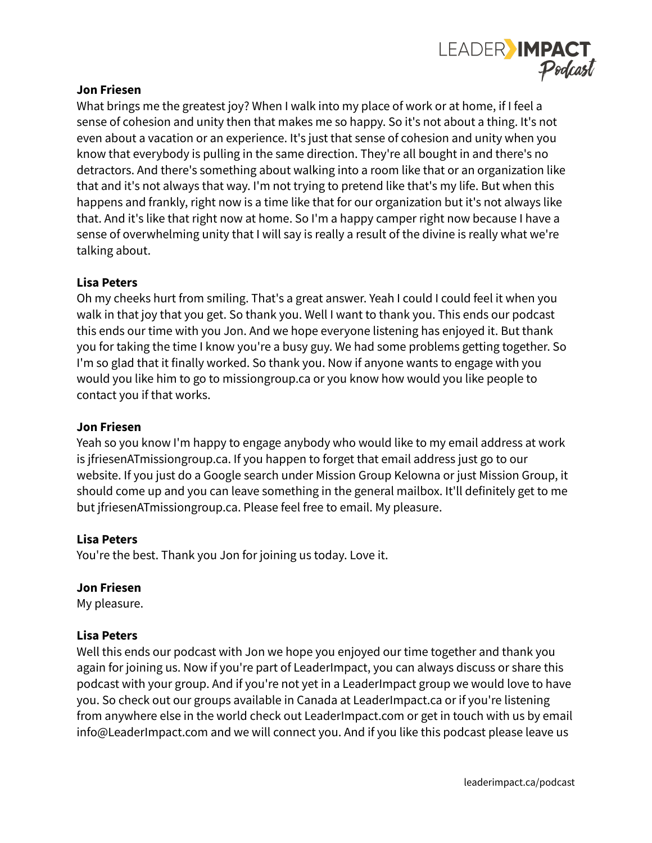

## **Jon Friesen**

What brings me the greatest joy? When I walk into my place of work or at home, if I feel a sense of cohesion and unity then that makes me so happy. So it's not about a thing. It's not even about a vacation or an experience. It's just that sense of cohesion and unity when you know that everybody is pulling in the same direction. They're all bought in and there's no detractors. And there's something about walking into a room like that or an organization like that and it's not always that way. I'm not trying to pretend like that's my life. But when this happens and frankly, right now is a time like that for our organization but it's not always like that. And it's like that right now at home. So I'm a happy camper right now because I have a sense of overwhelming unity that I will say is really a result of the divine is really what we're talking about.

## **Lisa Peters**

Oh my cheeks hurt from smiling. That's a great answer. Yeah I could I could feel it when you walk in that joy that you get. So thank you. Well I want to thank you. This ends our podcast this ends our time with you Jon. And we hope everyone listening has enjoyed it. But thank you for taking the time I know you're a busy guy. We had some problems getting together. So I'm so glad that it finally worked. So thank you. Now if anyone wants to engage with you would you like him to go to missiongroup.ca or you know how would you like people to contact you if that works.

## **Jon Friesen**

Yeah so you know I'm happy to engage anybody who would like to my email address at work is jfriesenATmissiongroup.ca. If you happen to forget that email address just go to our website. If you just do a Google search under Mission Group Kelowna or just Mission Group, it should come up and you can leave something in the general mailbox. It'll definitely get to me but jfriesenATmissiongroup.ca. Please feel free to email. My pleasure.

## **Lisa Peters**

You're the best. Thank you Jon for joining us today. Love it.

## **Jon Friesen**

My pleasure.

## **Lisa Peters**

Well this ends our podcast with Jon we hope you enjoyed our time together and thank you again for joining us. Now if you're part of LeaderImpact, you can always discuss or share this podcast with your group. And if you're not yet in a LeaderImpact group we would love to have you. So check out our groups available in Canada at LeaderImpact.ca or if you're listening from anywhere else in the world check out LeaderImpact.com or get in touch with us by email info@LeaderImpact.com and we will connect you. And if you like this podcast please leave us